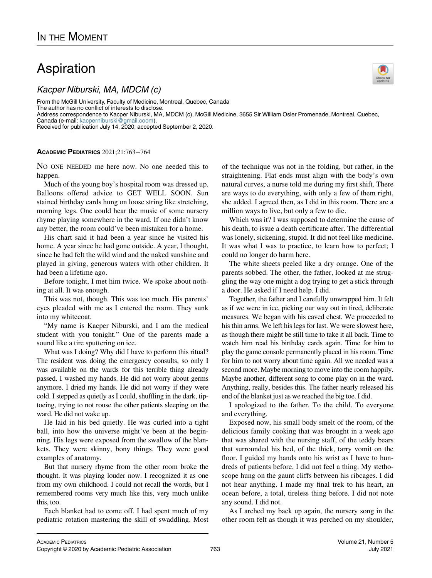## Aspiration

Kacper Niburski, MA, MDCM (c)

From the McGill University, Faculty of Medicine, Montreal, Quebec, Canada The author has no conflict of interests to disclose. Address correspondence to Kacper Niburski, MA, MDCM (c), McGill Medicine, 3655 Sir William Osler Promenade, Montreal, Quebec, Canada (e-mail: [kacperniburski@gmail.coom\)](mailto:kacperniburski@gmail.coom). Received for publication July 14, 2020; accepted September 2, 2020.

## ACADEMIC PEDIATRICS 2021;21:763−764

NO ONE NEEDED me here now. No one needed this to happen.

Much of the young boy's hospital room was dressed up. Balloons offered advice to GET WELL SOON. Sun stained birthday cards hung on loose string like stretching, morning legs. One could hear the music of some nursery rhyme playing somewhere in the ward. If one didn't know any better, the room could've been mistaken for a home.

His chart said it had been a year since he visited his home. A year since he had gone outside. A year, I thought, since he had felt the wild wind and the naked sunshine and played in giving, generous waters with other children. It had been a lifetime ago.

Before tonight, I met him twice. We spoke about nothing at all. It was enough.

This was not, though. This was too much. His parents' eyes pleaded with me as I entered the room. They sunk into my whitecoat.

"My name is Kacper Niburski, and I am the medical student with you tonight." One of the parents made a sound like a tire sputtering on ice.

What was I doing? Why did I have to perform this ritual? The resident was doing the emergency consults, so only I was available on the wards for this terrible thing already passed. I washed my hands. He did not worry about germs anymore. I dried my hands. He did not worry if they were cold. I stepped as quietly as I could, shuffling in the dark, tiptoeing, trying to not rouse the other patients sleeping on the ward. He did not wake up.

He laid in his bed quietly. He was curled into a tight ball, into how the universe might've been at the beginning. His legs were exposed from the swallow of the blankets. They were skinny, bony things. They were good examples of anatomy.

But that nursery rhyme from the other room broke the thought. It was playing louder now. I recognized it as one from my own childhood. I could not recall the words, but I remembered rooms very much like this, very much unlike this, too.

Each blanket had to come off. I had spent much of my pediatric rotation mastering the skill of swaddling. Most of the technique was not in the folding, but rather, in the straightening. Flat ends must align with the body's own natural curves, a nurse told me during my first shift. There are ways to do everything, with only a few of them right, she added. I agreed then, as I did in this room. There are a million ways to live, but only a few to die.

Which was it? I was supposed to determine the cause of his death, to issue a death certificate after. The differential was lonely, sickening, stupid. It did not feel like medicine. It was what I was to practice, to learn how to perfect; I could no longer do harm here.

The white sheets peeled like a dry orange. One of the parents sobbed. The other, the father, looked at me struggling the way one might a dog trying to get a stick through a door. He asked if I need help. I did.

Together, the father and I carefully unwrapped him. It felt as if we were in ice, picking our way out in tired, deliberate measures. We began with his caved chest. We proceeded to his thin arms. We left his legs for last. We were slowest here, as though there might be still time to take it all back. Time to watch him read his birthday cards again. Time for him to play the game console permanently placed in his room. Time for him to not worry about time again. All we needed was a second more. Maybe morning to move into the room happily. Maybe another, different song to come play on in the ward. Anything, really, besides this. The father nearly released his end of the blanket just as we reached the big toe. I did.

I apologized to the father. To the child. To everyone and everything.

Exposed now, his small body smelt of the room, of the delicious family cooking that was brought in a week ago that was shared with the nursing staff, of the teddy bears that surrounded his bed, of the thick, tarry vomit on the floor. I guided my hands onto his wrist as I have to hundreds of patients before. I did not feel a thing. My stethoscope hung on the gaunt cliffs between his ribcages. I did not hear anything. I made my final trek to his heart, an ocean before, a total, tireless thing before. I did not note any sound. I did not.

As I arched my back up again, the nursery song in the other room felt as though it was perched on my shoulder,